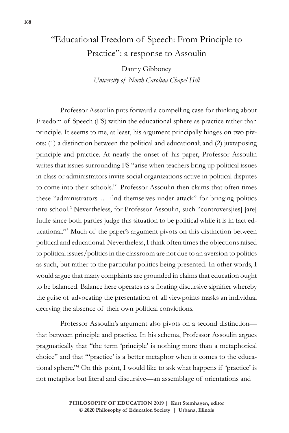## "Educational Freedom of Speech: From Principle to Practice": a response to Assoulin

Danny Gibboney *University of North Carolina Chapel Hill*

Professor Assoulin puts forward a compelling case for thinking about Freedom of Speech (FS) within the educational sphere as practice rather than principle. It seems to me, at least, his argument principally hinges on two pivots: (1) a distinction between the political and educational; and (2) juxtaposing principle and practice. At nearly the onset of his paper, Professor Assoulin writes that issues surrounding FS "arise when teachers bring up political issues in class or administrators invite social organizations active in political disputes to come into their schools."1 Professor Assoulin then claims that often times these "administrators … find themselves under attack" for bringing politics into school.2 Nevertheless, for Professor Assoulin, such "controvers[ies] [are] futile since both parties judge this situation to be political while it is in fact educational."3 Much of the paper's argument pivots on this distinction between political and educational. Nevertheless, I think often times the objections raised to political issues/politics in the classroom are not due to an aversion to politics as such, but rather to the particular politics being presented. In other words, I would argue that many complaints are grounded in claims that education ought to be balanced. Balance here operates as a floating discursive signifier whereby the guise of advocating the presentation of all viewpoints masks an individual decrying the absence of their own political convictions.

Professor Assoulin's argument also pivots on a second distinction that between principle and practice. In his schema, Professor Assoulin argues pragmatically that "the term 'principle' is nothing more than a metaphorical choice" and that "'practice' is a better metaphor when it comes to the educational sphere."4 On this point, I would like to ask what happens if 'practice' is not metaphor but literal and discursive—an assemblage of orientations and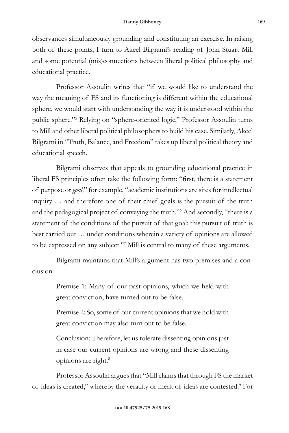observances simultaneously grounding and constituting an exercise. In raising both of these points, I turn to Akeel Bilgrami's reading of John Stuart Mill and some potential (mis)connections between liberal political philosophy and educational practice.

Professor Assoulin writes that "if we would like to understand the way the meaning of FS and its functioning is different within the educational sphere, we would start with understanding the way it is understood within the public sphere."5 Relying on "sphere-oriented logic," Professor Assoulin turns to Mill and other liberal political philosophers to build his case. Similarly, Akeel Bilgrami in "Truth, Balance, and Freedom" takes up liberal political theory and educational speech.

Bilgrami observes that appeals to grounding educational practice in liberal FS principles often take the following form: "first, there is a statement of purpose or *goal,*" for example, "academic institutions are sites for intellectual inquiry … and therefore one of their chief goals is the pursuit of the truth and the pedagogical project of conveying the truth."6 And secondly, "there is a statement of the conditions of the pursuit of that goal: this pursuit of truth is best carried out … under conditions wherein a variety of opinions are allowed to be expressed on any subject."7 Mill is central to many of these arguments.

Bilgrami maintains that Mill's argument has two premises and a conclusion:

> Premise 1: Many of our past opinions, which we held with great conviction, have turned out to be false.

> Premise 2: So, some of our current opinions that we hold with great conviction may also turn out to be false.

> Conclusion: Therefore, let us tolerate dissenting opinions just in case our current opinions are wrong and these dissenting opinions are right.8

Professor Assoulin argues that "Mill claims that through FS the market of ideas is created," whereby the veracity or merit of ideas are contested.9 For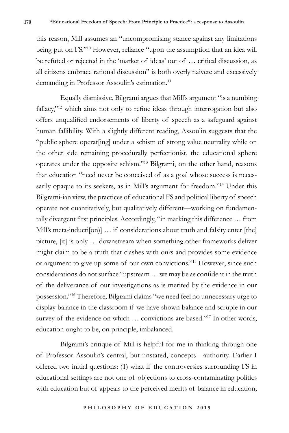this reason, Mill assumes an "uncompromising stance against any limitations being put on FS."10 However, reliance "upon the assumption that an idea will be refuted or rejected in the 'market of ideas' out of … critical discussion, as all citizens embrace rational discussion" is both overly naivete and excessively demanding in Professor Assoulin's estimation.<sup>11</sup>

Equally dismissive, Bilgrami argues that Mill's argument "is a numbing fallacy,"<sup>12</sup> which aims not only to refine ideas through interrogation but also offers unqualified endorsements of liberty of speech as a safeguard against human fallibility. With a slightly different reading, Assoulin suggests that the "public sphere operat[ing] under a schism of strong value neutrality while on the other side remaining procedurally perfectionist, the educational sphere operates under the opposite schism."13 Bilgrami, on the other hand, reasons that education "need never be conceived of as a goal whose success is necessarily opaque to its seekers, as in Mill's argument for freedom."14 Under this Bilgrami-ian view, the practices of educational FS and political liberty of speech operate not quantitatively, but qualitatively different—working on fundamentally divergent first principles. Accordingly, "in marking this difference … from Mill's meta-inducti[on)] ... if considerations about truth and falsity enter [the] picture, [it] is only … downstream when something other frameworks deliver might claim to be a truth that clashes with ours and provides some evidence or argument to give up some of our own convictions."15 However, since such considerations do not surface "upstream … we may be as confident in the truth of the deliverance of our investigations as is merited by the evidence in our possession."16 Therefore, Bilgrami claims "we need feel no unnecessary urge to display balance in the classroom if we have shown balance and scruple in our survey of the evidence on which … convictions are based."17 In other words, education ought to be, on principle, imbalanced.

Bilgrami's critique of Mill is helpful for me in thinking through one of Professor Assoulin's central, but unstated, concepts—authority. Earlier I offered two initial questions: (1) what if the controversies surrounding FS in educational settings are not one of objections to cross-contaminating politics with education but of appeals to the perceived merits of balance in education;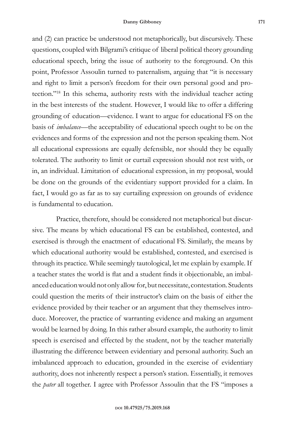and (2) can practice be understood not metaphorically, but discursively. These questions, coupled with Bilgrami's critique of liberal political theory grounding educational speech, bring the issue of authority to the foreground. On this point, Professor Assoulin turned to paternalism, arguing that "it is necessary and right to limit a person's freedom for their own personal good and protection."18 In this schema, authority rests with the individual teacher acting in the best interests of the student. However, I would like to offer a differing grounding of education—evidence. I want to argue for educational FS on the basis of *imbalance—*the acceptability of educational speech ought to be on the evidences and forms of the expression and not the person speaking them. Not all educational expressions are equally defensible, nor should they be equally tolerated. The authority to limit or curtail expression should not rest with, or in, an individual. Limitation of educational expression, in my proposal, would be done on the grounds of the evidentiary support provided for a claim. In fact, I would go as far as to say curtailing expression on grounds of evidence is fundamental to education.

Practice, therefore, should be considered not metaphorical but discursive. The means by which educational FS can be established, contested, and exercised is through the enactment of educational FS. Similarly, the means by which educational authority would be established, contested, and exercised is through its practice. While seemingly tautological, let me explain by example. If a teacher states the world is flat and a student finds it objectionable, an imbalanced education would not only allow for, but necessitate, contestation. Students could question the merits of their instructor's claim on the basis of either the evidence provided by their teacher or an argument that they themselves introduce. Moreover, the practice of warranting evidence and making an argument would be learned by doing. In this rather absurd example, the authority to limit speech is exercised and effected by the student, not by the teacher materially illustrating the difference between evidentiary and personal authority. Such an imbalanced approach to education, grounded in the exercise of evidentiary authority, does not inherently respect a person's station. Essentially, it removes the *pater* all together. I agree with Professor Assoulin that the FS "imposes a